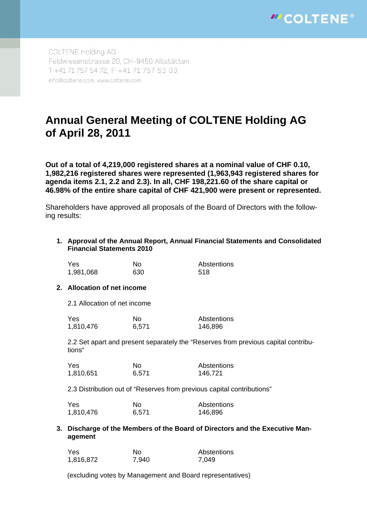

COLTENE Holding AG Feldwiesenstrasse 20, CH-9450 Altstätten T +41 71 757 54 72, F +41 71 757 53 03 info@coltene.com, www.coltene.com

# **Annual General Meeting of COLTENE Holding AG of April 28, 2011**

**Out of a total of 4,219,000 registered shares at a nominal value of CHF 0.10, 1,982,216 registered shares were represented (1,963,943 registered shares for agenda items 2.1, 2.2 and 2.3). In all, CHF 198,221.60 of the share capital or 46.98% of the entire share capital of CHF 421,900 were present or represented.** 

Shareholders have approved all proposals of the Board of Directors with the following results:

**1. Approval of the Annual Report, Annual Financial Statements and Consolidated Financial Statements 2010** 

| Yes.      | Nο  | Abstentions |
|-----------|-----|-------------|
| 1,981,068 | 630 | 518         |

#### **2. Allocation of net income**

2.1 Allocation of net income

| Yes.      | Nο    | Abstentions |
|-----------|-------|-------------|
| 1,810,476 | 6,571 | 146,896     |

2.2 Set apart and present separately the "Reserves from previous capital contributions"

| Yes       | Nο    | Abstentions |
|-----------|-------|-------------|
| 1,810,651 | 6,571 | 146,721     |

2.3 Distribution out of "Reserves from previous capital contributions"

| <b>Yes</b> | Nο    | Abstentions |
|------------|-------|-------------|
| 1,810,476  | 6,571 | 146,896     |

**3. Discharge of the Members of the Board of Directors and the Executive Management** 

| Yes       | No.   | Abstentions |
|-----------|-------|-------------|
| 1,816,872 | 7,940 | 7.049       |

(excluding votes by Management and Board representatives)